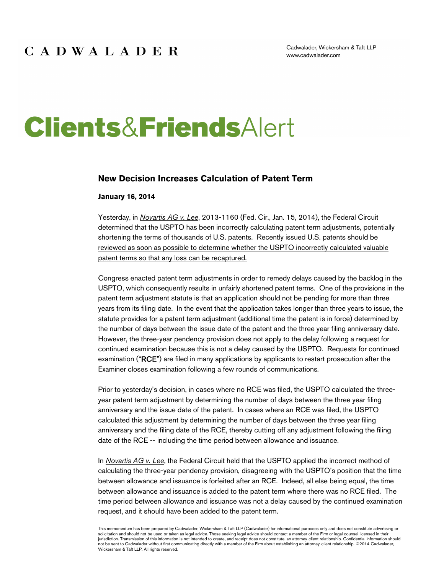Cadwalader, Wickersham & Taft LLP www.cadwalader.com

# **Clients&FriendsAlert**

#### **New Decision Increases Calculation of Patent Term**

#### **January 16, 2014**

Yesterday, in *Novartis AG v. Lee*, 2013-1160 (Fed. Cir., Jan. 15, 2014), the Federal Circuit determined that the USPTO has been incorrectly calculating patent term adjustments, potentially shortening the terms of thousands of U.S. patents. Recently issued U.S. patents should be reviewed as soon as possible to determine whether the USPTO incorrectly calculated valuable patent terms so that any loss can be recaptured.

Congress enacted patent term adjustments in order to remedy delays caused by the backlog in the USPTO, which consequently results in unfairly shortened patent terms. One of the provisions in the patent term adjustment statute is that an application should not be pending for more than three years from its filing date. In the event that the application takes longer than three years to issue, the statute provides for a patent term adjustment (additional time the patent is in force) determined by the number of days between the issue date of the patent and the three year filing anniversary date. However, the three-year pendency provision does not apply to the delay following a request for continued examination because this is not a delay caused by the USPTO. Requests for continued examination ("RCE") are filed in many applications by applicants to restart prosecution after the Examiner closes examination following a few rounds of communications.

Prior to yesterday's decision, in cases where no RCE was filed, the USPTO calculated the threeyear patent term adjustment by determining the number of days between the three year filing anniversary and the issue date of the patent. In cases where an RCE was filed, the USPTO calculated this adjustment by determining the number of days between the three year filing anniversary and the filing date of the RCE, thereby cutting off any adjustment following the filing date of the RCE -- including the time period between allowance and issuance.

In *Novartis AG v. Lee*, the Federal Circuit held that the USPTO applied the incorrect method of calculating the three-year pendency provision, disagreeing with the USPTO's position that the time between allowance and issuance is forfeited after an RCE. Indeed, all else being equal, the time between allowance and issuance is added to the patent term where there was no RCE filed. The time period between allowance and issuance was not a delay caused by the continued examination request, and it should have been added to the patent term.

This memorandum has been prepared by Cadwalader, Wickersham & Taft LLP (Cadwalader) for informational purposes only and does not constitute advertising or<br>solicitation and should not be used or taken as legal advice. Those jurisdiction. Transmission of this information is not intended to create, and receipt does not constitute, an attorney-client relationship. Confidential information should not be sent to Cadwalader without first communicating directly with a member of the Firm about establishing an attorney-client relationship. ©2014 Cadwalader, Wickersham & Taft LLP. All rights reserved.